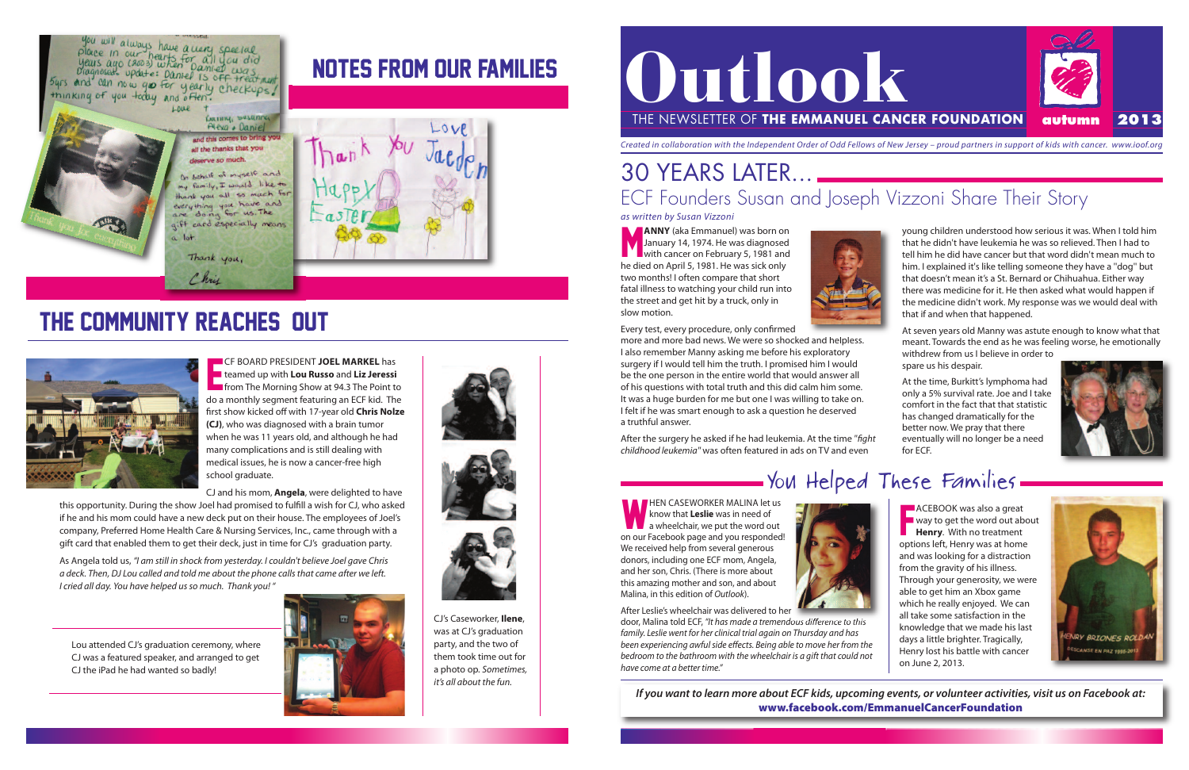HEN CASEWORKER MALINA let us know that **leslie** was in need of  $\blacksquare$  a wheelchair, we put the word out on our Facebook page and you responded! We received help from several generous donors, including one ECF mom, Angela, and her son, Chris. (There is more about this amazing mother and son, and about Malina, in this edition of Outlook).



after Leslie's wheelchair was delivered to her door, Malina told eCF, "It has made a tremendous difference to this

family. Leslie went for her clinical trial again on Thursday and has been experiencing awful side effects. Being able to move her from the bedroom to the bathroom with the wheelchair is a gift that could not have come at a better time."

M **ANNY** (aka Emmanuel) was born on January 14, 1974. He was diagnosed with cancer on February 5, 1981 and he died on April 5, 1981. He was sick only two months! I often compare that short fatal illness to watching your child run into the street and get hit by a truck, only in slow motion.



Every test, every procedure, only confirmed

at the time, Burkitt's lymphoma had only a 5% survival rate. Joe and I take comfort in the fact that that statistic has changed dramatically for the better now. We pray that there eventually will no longer be a need for ECF.



# - You Helped These Families.

more and more bad news. We were so shocked and helpless. i also remember Manny asking me before his exploratory surgery if I would tell him the truth. I promised him I would be the one person in the entire world that would answer all of his questions with total truth and this did calm him some. It was a huge burden for me but one I was willing to take on. i felt if he was smart enough to ask a question he deserved a truthful answer.

After the surgery he asked if he had leukemia. At the time "fight childhood leukemia" was often featured in ads on TV and even

If you want to learn more about ECF kids, upcoming events, or volunteer activities, visit us on Facebook at: **www.facebook.com/EmmanuelCancerFoundation**

**HEREF ACEBOOK** was also a great<br>
way to get the word out all<br> **Henry**. With no treatment **ACEBOOK** was also a great  $\blacksquare$  way to get the word out about options left, Henry was at home and was looking for a distraction from the gravity of his illness. Through your generosity, we were able to get him an Xbox game which he really enjoyed. We can all take some satisfaction in the knowledge that we made his last days a little brighter. Tragically, Henry lost his battle with cancer on June 2, 2013.



young children understood how serious it was. When i told him that he didn't have leukemia he was so relieved. Then I had to tell him he did have cancer but that word didn't mean much to him. I explained it's like telling someone they have a "dog" but that doesn't mean it's a St. Bernard or Chihuahua. Either way there was medicine for it. He then asked what would happen if the medicine didn't work. My response was we would deal with that if and when that happened.

this opportunity. During the show Joel had promised to fulfill a wish for CJ, who asked if he and his mom could have a new deck put on their house. The employees of Joel's company, Preferred Home Health Care & Nursing Services, Inc., came through with a gift card that enabled them to get their deck, just in time for CJ's graduation party.

As Angela told us, "I am still in shock from yesterday. I couldn't believe Joel gave Chris a deck. Then, DJ Lou called and told me about the phone calls that came after we left. I cried all day. You have helped usso much. Thank you! "

at seven years old Manny was astute enough to know what that meant. Towards the end as he was feeling worse, he emotionally withdrew from us i believe in order to

spare us his despair.



E CF Board President **Joel Markel** has teamed up with **lou russo** and **liz Jeressi Form** the Morning Show at 94.3 The Point to do a monthly segment featuring an ECF kid. The first show kicked off with 17-year old **Chris Nolze (CJ)**, who was diagnosed with a brain tumor when he was 11 years old, and although he had many complications and is still dealing with medical issues, he is now a cancer-free high school graduate.

CJ and his mom, **angela**, were delighted to have

# the community reaches out



you will always have a very special<br>place in our hearts for all you did<br>years ago (3003) when Damier was<br>bragnosed. update: Daniel is of treat ment, byrs and can now you for yearly checkups! thinking of you today and often.

# NOTES FROM OUR FAMILIES

Banny, Sasanna 1 Alexa + Daniel and this comes to bring you all the thanks that you leserve so much.

behalf of myself and family, I would like to thank you all so much for everything you have and gift card especially means  $10<sup>+</sup>$ 

Thank you,

Chris

# 30 YEARS LATER... ECF Founders Susan and Joseph Vizzoni Share Their Story



CJ's Caseworker, **Ilene**, was at CJ's graduation party, and the two of them took time out for a photo op. Sometimes, it's all about the fun.

Lou attended CJ's graduation ceremony, where CJ was a featured speaker, and arranged to get CJ the iPad he had wanted so badly!





as written by Susan Vizzoni